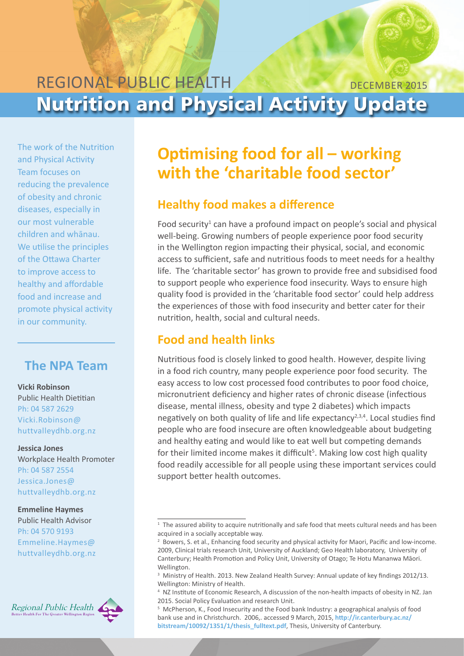## REGIONAL PUBLIC HEALTH Nutrition and Physical Activity Update DECEMBER 2015

The work of the Nutrition and Physical Activity Team focuses on reducing the prevalence of obesity and chronic diseases, especially in our most vulnerable children and whānau. We utilise the principles of the Ottawa Charter to improve access to healthy and affordable food and increase and promote physical activity in our community.

## **The NPA Team**

#### **Vicki Robinson**

Public Health Dietitian Ph: 04 587 2629 [Vicki.Robinson@](mailto:Vicki.Robinson%40huttvalleydhb.org.nz?subject=) [huttvalleydhb.org.nz](mailto:Vicki.Robinson%40huttvalleydhb.org.nz?subject=)

**Jessica Jones** Workplace Health Promoter Ph: 04 587 2554 [Jessica.Jones@](mailto:Jessica.Jones%40huttvalleydhb.org.nz?subject=) [huttvalleydhb.org.nz](mailto:Jessica.Jones%40huttvalleydhb.org.nz?subject=) 

#### **Emmeline Haymes**

Public Health Advisor Ph: 04 570 9193 [Emmeline.Haymes@](mailto:Emmeline.Haymes%40huttvalleydhb.org.nz?subject=) [huttvalleydhb.org.nz](mailto:Emmeline.Haymes%40huttvalleydhb.org.nz?subject=) 



# **Optimising food for all – working with the 'charitable food sector'**

### **Healthy food makes a difference**

Food security<sup>1</sup> can have a profound impact on people's social and physical well-being. Growing numbers of people experience poor food security in the Wellington region impacting their physical, social, and economic access to sufficient, safe and nutritious foods to meet needs for a healthy life. The 'charitable sector' has grown to provide free and subsidised food to support people who experience food insecurity. Ways to ensure high quality food is provided in the 'charitable food sector' could help address the experiences of those with food insecurity and better cater for their nutrition, health, social and cultural needs.

#### **Food and health links**

Nutritious food is closely linked to good health. However, despite living in a food rich country, many people experience poor food security. The easy access to low cost processed food contributes to poor food choice, micronutrient deficiency and higher rates of chronic disease (infectious disease, mental illness, obesity and type 2 diabetes) which impacts negatively on both quality of life and life expectancy<sup>2,3,4</sup>. Local studies find people who are food insecure are often knowledgeable about budgeting and healthy eating and would like to eat well but competing demands for their limited income makes it difficult<sup>5</sup>. Making low cost high quality food readily accessible for all people using these important services could support better health outcomes.

<sup>&</sup>lt;sup>1</sup> The assured ability to acquire nutritionally and safe food that meets cultural needs and has been acquired in a socially acceptable way.

<sup>&</sup>lt;sup>2</sup> Bowers, S. et al., Enhancing food security and physical activity for Maori, Pacific and low-income. 2009, Clinical trials research Unit, University of Auckland; Geo Health laboratory, University of Canterbury; Health Promotion and Policy Unit, University of Otago; Te Hotu Mananwa Māori. Wellington.

<sup>&</sup>lt;sup>3</sup> Ministry of Health. 2013. New Zealand Health Survey: Annual update of key findings 2012/13. Wellington: Ministry of Health.

<sup>4</sup> NZ Institute of Economic Research, A discussion of the non-health impacts of obesity in NZ. Jan 2015. Social Policy Evaluation and research Unit.

<sup>5</sup> McPherson, K., Food Insecurity and the Food bank Industry: a geographical analysis of food bank use and in Christchurch. 2006,. accessed 9 March, 2015, **[http://ir.canterbury.ac.nz/](http://ir.canterbury.ac.nz/bitstream/10092/1351/1/thesis_fulltext.pdf) [bitstream/10092/1351/1/thesis\\_fulltext.pdf](http://ir.canterbury.ac.nz/bitstream/10092/1351/1/thesis_fulltext.pdf)**, Thesis, University of Canterbury.